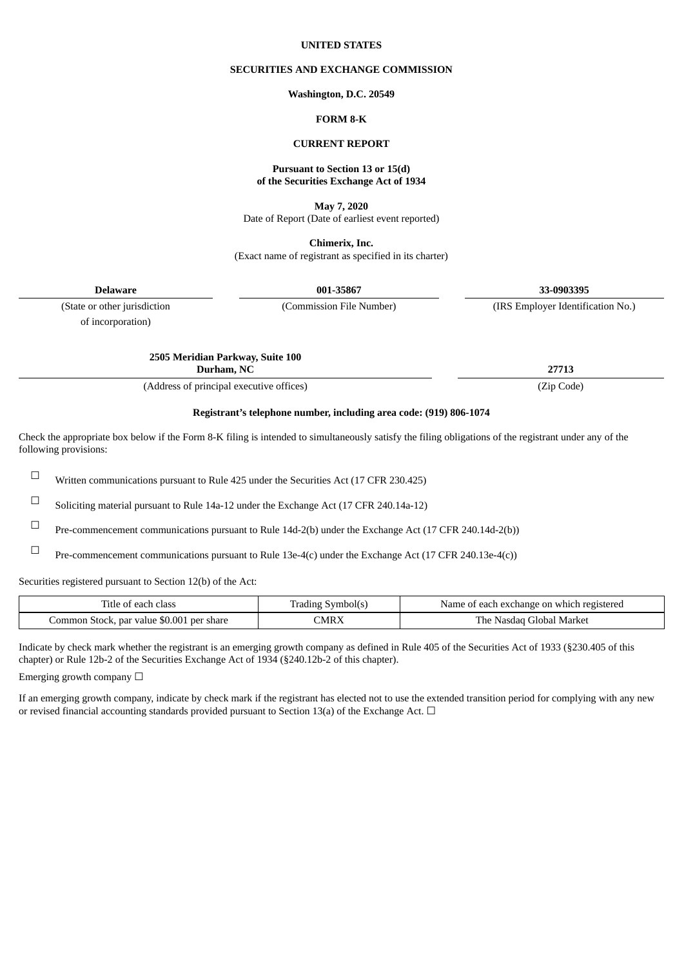#### **UNITED STATES**

# **SECURITIES AND EXCHANGE COMMISSION**

#### **Washington, D.C. 20549**

# **FORM 8-K**

### **CURRENT REPORT**

# **Pursuant to Section 13 or 15(d) of the Securities Exchange Act of 1934**

**May 7, 2020**

Date of Report (Date of earliest event reported)

**Chimerix, Inc.** (Exact name of registrant as specified in its charter)

**Delaware 001-35867 33-0903395**

of incorporation)

(State or other jurisdiction (Commission File Number) (IRS Employer Identification No.)

**2505 Meridian Parkway, Suite 100 Durham, NC 27713**

(Address of principal executive offices) (Zip Code)

# **Registrant's telephone number, including area code: (919) 806-1074**

Check the appropriate box below if the Form 8-K filing is intended to simultaneously satisfy the filing obligations of the registrant under any of the following provisions:

 $\Box$  Written communications pursuant to Rule 425 under the Securities Act (17 CFR 230.425)

☐ Soliciting material pursuant to Rule 14a-12 under the Exchange Act (17 CFR 240.14a-12)

☐ Pre-commencement communications pursuant to Rule 14d-2(b) under the Exchange Act (17 CFR 240.14d-2(b))

☐ Pre-commencement communications pursuant to Rule 13e-4(c) under the Exchange Act (17 CFR 240.13e-4(c))

Securities registered pursuant to Section 12(b) of the Act:

| Title of each class                       | Trading Symbol(s) | Name of each exchange on which registered |
|-------------------------------------------|-------------------|-------------------------------------------|
| Common Stock, par value \$0.001 per share | CMRX              | The Nasdag Global Market                  |

Indicate by check mark whether the registrant is an emerging growth company as defined in Rule 405 of the Securities Act of 1933 (§230.405 of this chapter) or Rule 12b-2 of the Securities Exchange Act of 1934 (§240.12b-2 of this chapter).

Emerging growth company  $\Box$ 

If an emerging growth company, indicate by check mark if the registrant has elected not to use the extended transition period for complying with any new or revised financial accounting standards provided pursuant to Section 13(a) of the Exchange Act.  $\Box$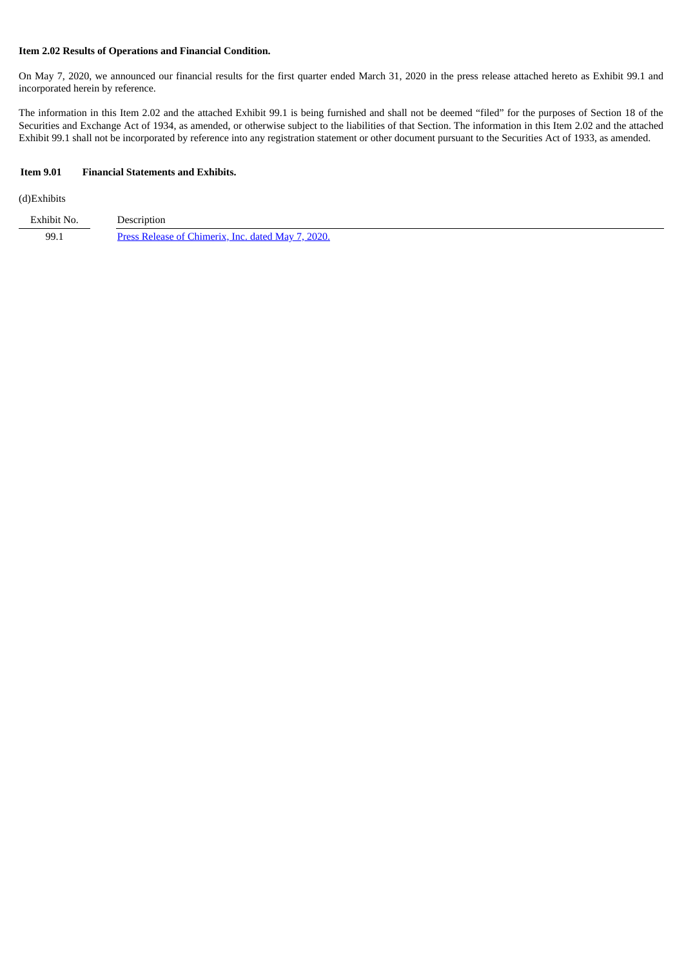### **Item 2.02 Results of Operations and Financial Condition.**

On May 7, 2020, we announced our financial results for the first quarter ended March 31, 2020 in the press release attached hereto as Exhibit 99.1 and incorporated herein by reference.

The information in this Item 2.02 and the attached Exhibit 99.1 is being furnished and shall not be deemed "filed" for the purposes of Section 18 of the Securities and Exchange Act of 1934, as amended, or otherwise subject to the liabilities of that Section. The information in this Item 2.02 and the attached Exhibit 99.1 shall not be incorporated by reference into any registration statement or other document pursuant to the Securities Act of 1933, as amended.

### **Item 9.01 Financial Statements and Exhibits.**

# (d)Exhibits

| Exhibit No.   | Description                                        |
|---------------|----------------------------------------------------|
| 99.1<br>$  -$ | Press Release of Chimerix, Inc. dated May 7, 2020. |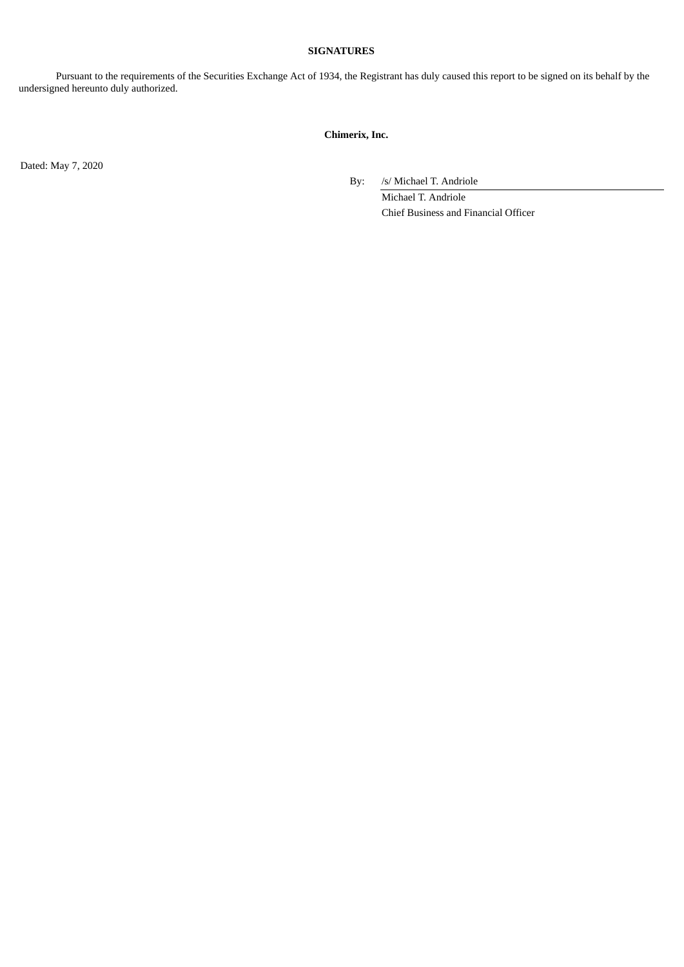### **SIGNATURES**

Pursuant to the requirements of the Securities Exchange Act of 1934, the Registrant has duly caused this report to be signed on its behalf by the undersigned hereunto duly authorized.

# **Chimerix, Inc.**

Dated: May 7, 2020

By: /s/ Michael T. Andriole

Michael T. Andriole Chief Business and Financial Officer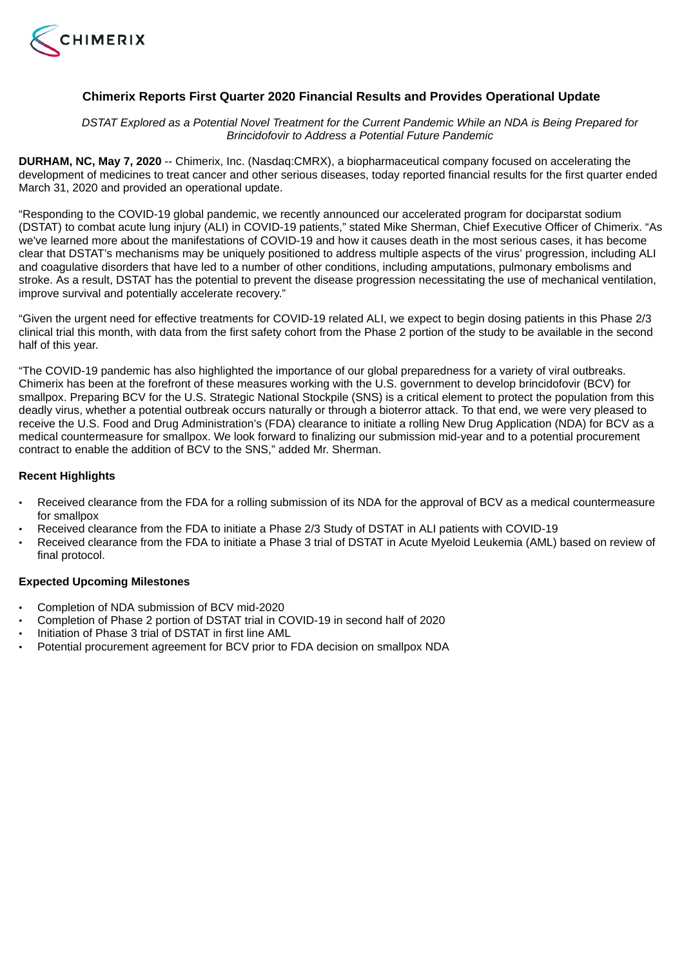<span id="page-3-0"></span>

# **Chimerix Reports First Quarter 2020 Financial Results and Provides Operational Update**

DSTAT Explored as a Potential Novel Treatment for the Current Pandemic While an NDA is Being Prepared for *Brincidofovir to Address a Potential Future Pandemic*

**DURHAM, NC, May 7, 2020** -- Chimerix, Inc. (Nasdaq:CMRX), a biopharmaceutical company focused on accelerating the development of medicines to treat cancer and other serious diseases, today reported financial results for the first quarter ended March 31, 2020 and provided an operational update.

"Responding to the COVID-19 global pandemic, we recently announced our accelerated program for dociparstat sodium (DSTAT) to combat acute lung injury (ALI) in COVID-19 patients," stated Mike Sherman, Chief Executive Officer of Chimerix. "As we've learned more about the manifestations of COVID-19 and how it causes death in the most serious cases, it has become clear that DSTAT's mechanisms may be uniquely positioned to address multiple aspects of the virus' progression, including ALI and coagulative disorders that have led to a number of other conditions, including amputations, pulmonary embolisms and stroke. As a result, DSTAT has the potential to prevent the disease progression necessitating the use of mechanical ventilation, improve survival and potentially accelerate recovery."

"Given the urgent need for effective treatments for COVID-19 related ALI, we expect to begin dosing patients in this Phase 2/3 clinical trial this month, with data from the first safety cohort from the Phase 2 portion of the study to be available in the second half of this year.

"The COVID-19 pandemic has also highlighted the importance of our global preparedness for a variety of viral outbreaks. Chimerix has been at the forefront of these measures working with the U.S. government to develop brincidofovir (BCV) for smallpox. Preparing BCV for the U.S. Strategic National Stockpile (SNS) is a critical element to protect the population from this deadly virus, whether a potential outbreak occurs naturally or through a bioterror attack. To that end, we were very pleased to receive the U.S. Food and Drug Administration's (FDA) clearance to initiate a rolling New Drug Application (NDA) for BCV as a medical countermeasure for smallpox. We look forward to finalizing our submission mid-year and to a potential procurement contract to enable the addition of BCV to the SNS," added Mr. Sherman.

# **Recent Highlights**

- Received clearance from the FDA for a rolling submission of its NDA for the approval of BCV as a medical countermeasure for smallpox
- Received clearance from the FDA to initiate a Phase 2/3 Study of DSTAT in ALI patients with COVID-19
- Received clearance from the FDA to initiate a Phase 3 trial of DSTAT in Acute Myeloid Leukemia (AML) based on review of final protocol.

# **Expected Upcoming Milestones**

- Completion of NDA submission of BCV mid-2020
- Completion of Phase 2 portion of DSTAT trial in COVID-19 in second half of 2020
- Initiation of Phase 3 trial of DSTAT in first line AML
- Potential procurement agreement for BCV prior to FDA decision on smallpox NDA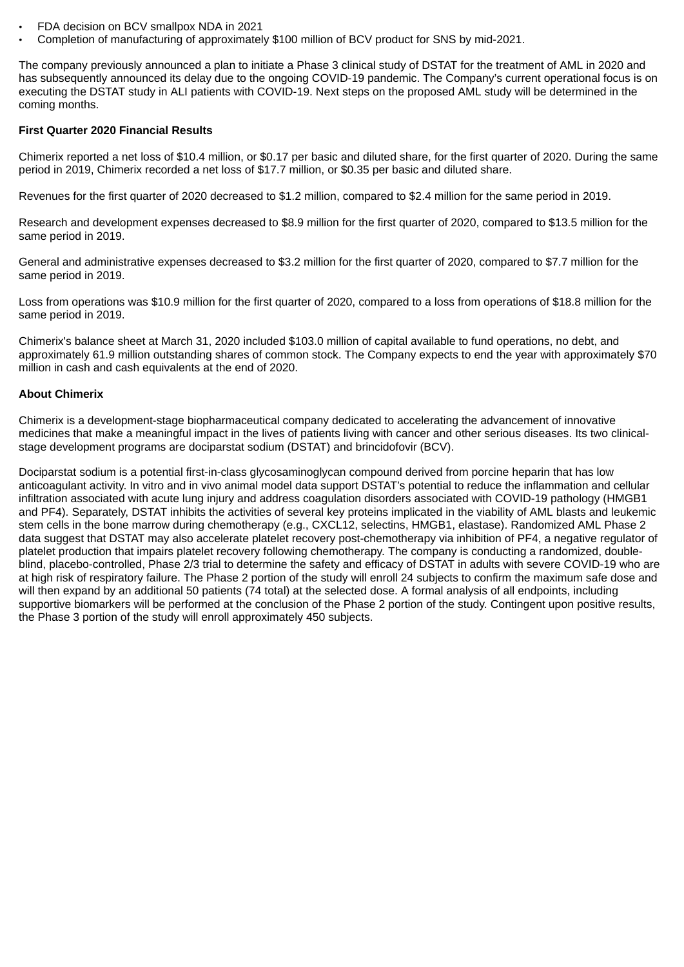- FDA decision on BCV smallpox NDA in 2021
- Completion of manufacturing of approximately \$100 million of BCV product for SNS by mid-2021.

The company previously announced a plan to initiate a Phase 3 clinical study of DSTAT for the treatment of AML in 2020 and has subsequently announced its delay due to the ongoing COVID-19 pandemic. The Company's current operational focus is on executing the DSTAT study in ALI patients with COVID-19. Next steps on the proposed AML study will be determined in the coming months.

### **First Quarter 2020 Financial Results**

Chimerix reported a net loss of \$10.4 million, or \$0.17 per basic and diluted share, for the first quarter of 2020. During the same period in 2019, Chimerix recorded a net loss of \$17.7 million, or \$0.35 per basic and diluted share.

Revenues for the first quarter of 2020 decreased to \$1.2 million, compared to \$2.4 million for the same period in 2019.

Research and development expenses decreased to \$8.9 million for the first quarter of 2020, compared to \$13.5 million for the same period in 2019.

General and administrative expenses decreased to \$3.2 million for the first quarter of 2020, compared to \$7.7 million for the same period in 2019.

Loss from operations was \$10.9 million for the first quarter of 2020, compared to a loss from operations of \$18.8 million for the same period in 2019.

Chimerix's balance sheet at March 31, 2020 included \$103.0 million of capital available to fund operations, no debt, and approximately 61.9 million outstanding shares of common stock. The Company expects to end the year with approximately \$70 million in cash and cash equivalents at the end of 2020.

# **About Chimerix**

Chimerix is a development-stage biopharmaceutical company dedicated to accelerating the advancement of innovative medicines that make a meaningful impact in the lives of patients living with cancer and other serious diseases. Its two clinicalstage development programs are dociparstat sodium (DSTAT) and brincidofovir (BCV).

Dociparstat sodium is a potential first-in-class glycosaminoglycan compound derived from porcine heparin that has low anticoagulant activity. In vitro and in vivo animal model data support DSTAT's potential to reduce the inflammation and cellular infiltration associated with acute lung injury and address coagulation disorders associated with COVID-19 pathology (HMGB1 and PF4). Separately, DSTAT inhibits the activities of several key proteins implicated in the viability of AML blasts and leukemic stem cells in the bone marrow during chemotherapy (e.g., CXCL12, selectins, HMGB1, elastase). Randomized AML Phase 2 data suggest that DSTAT may also accelerate platelet recovery post-chemotherapy via inhibition of PF4, a negative regulator of platelet production that impairs platelet recovery following chemotherapy. The company is conducting a randomized, doubleblind, placebo-controlled, Phase 2/3 trial to determine the safety and efficacy of DSTAT in adults with severe COVID-19 who are at high risk of respiratory failure. The Phase 2 portion of the study will enroll 24 subjects to confirm the maximum safe dose and will then expand by an additional 50 patients (74 total) at the selected dose. A formal analysis of all endpoints, including supportive biomarkers will be performed at the conclusion of the Phase 2 portion of the study. Contingent upon positive results, the Phase 3 portion of the study will enroll approximately 450 subjects.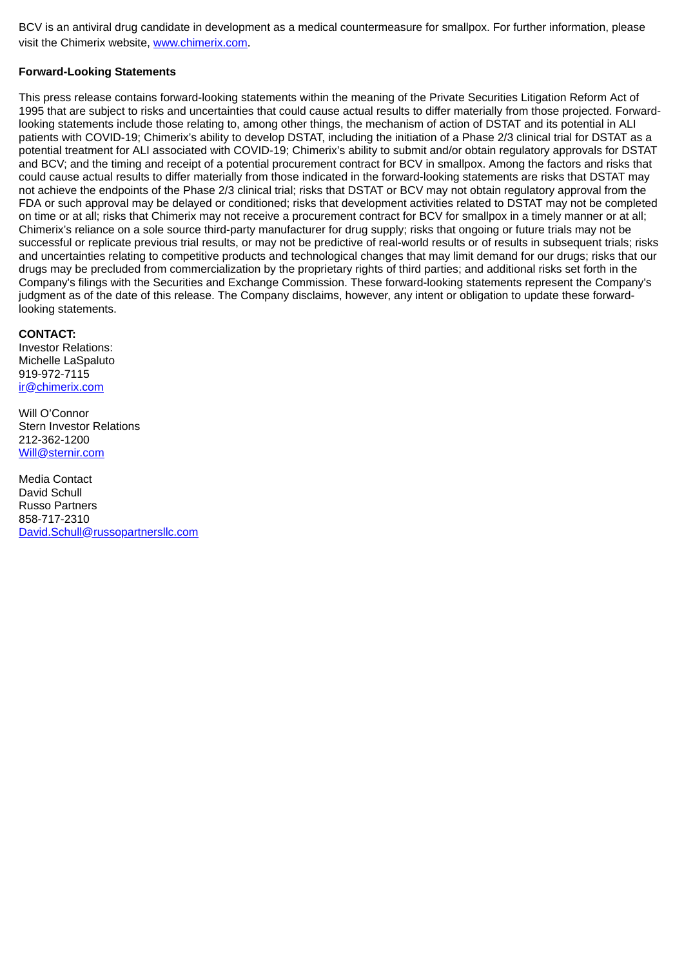BCV is an antiviral drug candidate in development as a medical countermeasure for smallpox. For further information, please visit the Chimerix website, www.chimerix.com.

# **Forward-Looking Statements**

This press release contains forward-looking statements within the meaning of the Private Securities Litigation Reform Act of 1995 that are subject to risks and uncertainties that could cause actual results to differ materially from those projected. Forwardlooking statements include those relating to, among other things, the mechanism of action of DSTAT and its potential in ALI patients with COVID-19; Chimerix's ability to develop DSTAT, including the initiation of a Phase 2/3 clinical trial for DSTAT as a potential treatment for ALI associated with COVID-19; Chimerix's ability to submit and/or obtain regulatory approvals for DSTAT and BCV; and the timing and receipt of a potential procurement contract for BCV in smallpox. Among the factors and risks that could cause actual results to differ materially from those indicated in the forward-looking statements are risks that DSTAT may not achieve the endpoints of the Phase 2/3 clinical trial; risks that DSTAT or BCV may not obtain regulatory approval from the FDA or such approval may be delayed or conditioned; risks that development activities related to DSTAT may not be completed on time or at all; risks that Chimerix may not receive a procurement contract for BCV for smallpox in a timely manner or at all; Chimerix's reliance on a sole source third-party manufacturer for drug supply; risks that ongoing or future trials may not be successful or replicate previous trial results, or may not be predictive of real-world results or of results in subsequent trials; risks and uncertainties relating to competitive products and technological changes that may limit demand for our drugs; risks that our drugs may be precluded from commercialization by the proprietary rights of third parties; and additional risks set forth in the Company's filings with the Securities and Exchange Commission. These forward-looking statements represent the Company's judgment as of the date of this release. The Company disclaims, however, any intent or obligation to update these forwardlooking statements.

## **CONTACT:**

Investor Relations: Michelle LaSpaluto 919-972-7115 ir@chimerix.com

Will O'Connor Stern Investor Relations 212-362-1200 Will@sternir.com

Media Contact David Schull Russo Partners 858-717-2310 David.Schull@russopartnersllc.com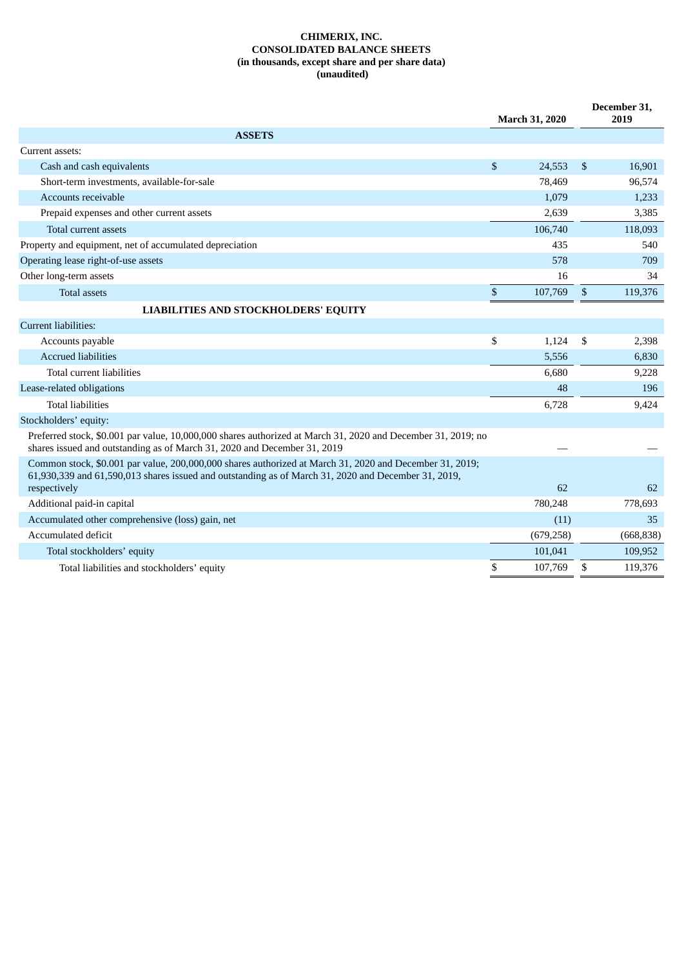### **CHIMERIX, INC. CONSOLIDATED BALANCE SHEETS (in thousands, except share and per share data) (unaudited)**

|                                                                                                                                                                                                                |              | <b>March 31, 2020</b> |                | December 31,<br>2019 |
|----------------------------------------------------------------------------------------------------------------------------------------------------------------------------------------------------------------|--------------|-----------------------|----------------|----------------------|
| <b>ASSETS</b>                                                                                                                                                                                                  |              |                       |                |                      |
| Current assets:                                                                                                                                                                                                |              |                       |                |                      |
| Cash and cash equivalents                                                                                                                                                                                      | \$           | 24,553                | $\mathfrak{S}$ | 16,901               |
| Short-term investments, available-for-sale                                                                                                                                                                     |              | 78,469                |                | 96,574               |
| Accounts receivable                                                                                                                                                                                            |              | 1,079                 |                | 1,233                |
| Prepaid expenses and other current assets                                                                                                                                                                      |              | 2,639                 |                | 3,385                |
| Total current assets                                                                                                                                                                                           |              | 106,740               |                | 118,093              |
| Property and equipment, net of accumulated depreciation                                                                                                                                                        |              | 435                   |                | 540                  |
| Operating lease right-of-use assets                                                                                                                                                                            |              | 578                   |                | 709                  |
| Other long-term assets                                                                                                                                                                                         |              | 16                    |                | 34                   |
| <b>Total assets</b>                                                                                                                                                                                            | $\mathbb{S}$ | 107,769               | $\mathfrak{S}$ | 119,376              |
| <b>LIABILITIES AND STOCKHOLDERS' EQUITY</b>                                                                                                                                                                    |              |                       |                |                      |
| Current liabilities:                                                                                                                                                                                           |              |                       |                |                      |
| Accounts payable                                                                                                                                                                                               | \$           | 1,124                 | \$             | 2,398                |
| <b>Accrued liabilities</b>                                                                                                                                                                                     |              | 5,556                 |                | 6,830                |
| Total current liabilities                                                                                                                                                                                      |              | 6,680                 |                | 9,228                |
| Lease-related obligations                                                                                                                                                                                      |              | 48                    |                | 196                  |
| <b>Total liabilities</b>                                                                                                                                                                                       |              | 6,728                 |                | 9,424                |
| Stockholders' equity:                                                                                                                                                                                          |              |                       |                |                      |
| Preferred stock, \$0.001 par value, 10,000,000 shares authorized at March 31, 2020 and December 31, 2019; no<br>shares issued and outstanding as of March 31, 2020 and December 31, 2019                       |              |                       |                |                      |
| Common stock, \$0.001 par value, 200,000,000 shares authorized at March 31, 2020 and December 31, 2019;<br>61,930,339 and 61,590,013 shares issued and outstanding as of March 31, 2020 and December 31, 2019, |              |                       |                |                      |
| respectively                                                                                                                                                                                                   |              | 62                    |                | 62                   |
| Additional paid-in capital                                                                                                                                                                                     |              | 780,248               |                | 778,693              |
| Accumulated other comprehensive (loss) gain, net                                                                                                                                                               |              | (11)                  |                | 35                   |
| Accumulated deficit                                                                                                                                                                                            |              | (679, 258)            |                | (668, 838)           |
| Total stockholders' equity                                                                                                                                                                                     |              | 101,041               |                | 109,952              |
| Total liabilities and stockholders' equity                                                                                                                                                                     | \$           | 107,769               | \$             | 119,376              |